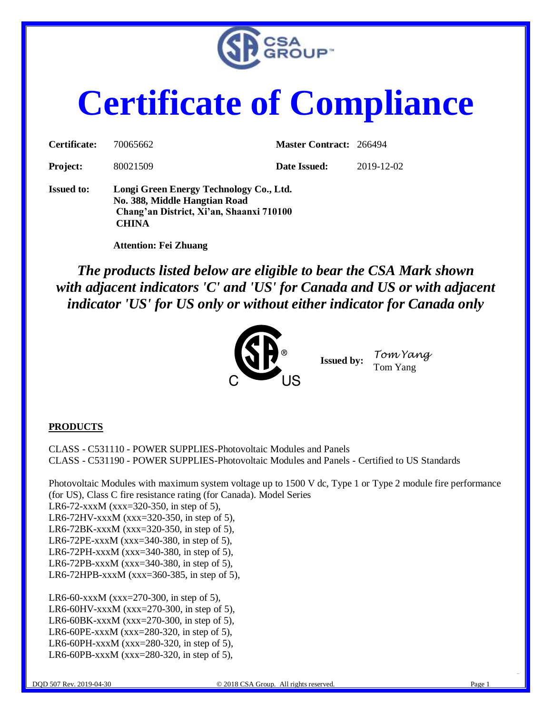

# **Certificate of Compliance**

| <b>Issued to:</b> | Longi Green Energy Technology Co., Ltd. |                                |            |
|-------------------|-----------------------------------------|--------------------------------|------------|
| <b>Project:</b>   | 80021509                                | Date Issued:                   | 2019-12-02 |
| Certificate:      | 70065662                                | <b>Master Contract: 266494</b> |            |

**No. 388, Middle Hangtian Road Chang'an District, Xi'an, Shaanxi 710100 CHINA**

 **Attention: Fei Zhuang**

*The products listed below are eligible to bear the CSA Mark shown with adjacent indicators 'C' and 'US' for Canada and US or with adjacent indicator 'US' for US only or without either indicator for Canada only* 



**Issued by:** *Tom Yang* Tom Yang

#### **PRODUCTS**

CLASS - C531110 - POWER SUPPLIES-Photovoltaic Modules and Panels CLASS - C531190 - POWER SUPPLIES-Photovoltaic Modules and Panels - Certified to US Standards

Photovoltaic Modules with maximum system voltage up to 1500 V dc, Type 1 or Type 2 module fire performance (for US), Class C fire resistance rating (for Canada). Model Series

LR6-72-xxxM (xxx=320-350, in step of 5),

LR6-72HV-xxxM (xxx=320-350, in step of 5),

LR6-72BK-xxxM (xxx=320-350, in step of 5),

LR6-72PE-xxxM (xxx=340-380, in step of 5), LR6-72PH-xxxM (xxx=340-380, in step of 5),

LR6-72PB-xxxM (xxx=340-380, in step of 5),

LR6-72HPB-xxxM (xxx=360-385, in step of 5),

LR6-60-xxxM (xxx=270-300, in step of 5), LR6-60HV-xxxM (xxx=270-300, in step of 5), LR6-60BK-xxxM (xxx=270-300, in step of 5), LR6-60PE-xxxM (xxx=280-320, in step of 5), LR6-60PH-xxxM (xxx=280-320, in step of 5), LR6-60PB-xxxM (xxx=280-320, in step of 5),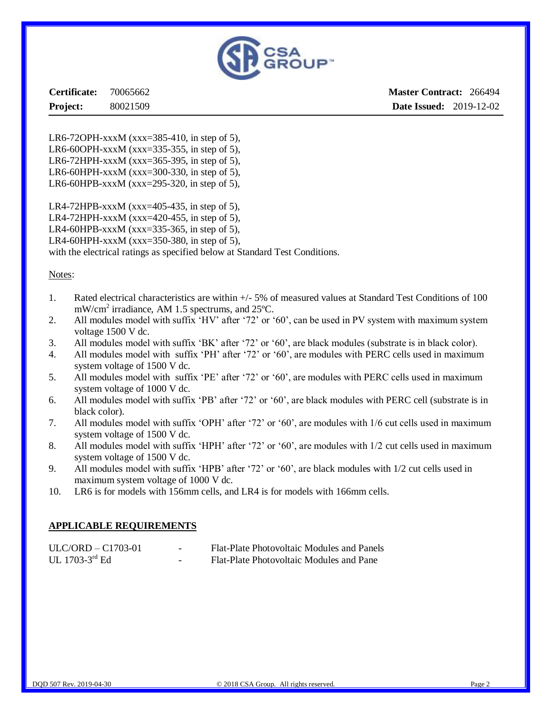

**Certificate:** 70065662 **Project:** 80021509

**Master Contract:** 266494 **Date Issued:** 2019-12-02

LR6-72OPH-xxxM (xxx=385-410, in step of 5), LR6-60OPH-xxxM (xxx=335-355, in step of 5), LR6-72HPH-xxxM (xxx=365-395, in step of 5), LR6-60HPH-xxxM (xxx=300-330, in step of 5), LR6-60HPB-xxxM (xxx=295-320, in step of 5),

LR4-72HPB-xxxM (xxx=405-435, in step of 5), LR4-72HPH-xxxM (xxx=420-455, in step of 5), LR4-60HPB-xxxM (xxx=335-365, in step of 5),

LR4-60HPH-xxxM (xxx=350-380, in step of 5).

with the electrical ratings as specified below at Standard Test Conditions.

#### Notes:

- 1. Rated electrical characteristics are within +/- 5% of measured values at Standard Test Conditions of 100 mW/cm<sup>2</sup> irradiance, AM 1.5 spectrums, and 25°C.
- 2. All modules model with suffix 'HV' after '72' or '60', can be used in PV system with maximum system voltage 1500 V dc.
- 3. All modules model with suffix 'BK' after '72' or '60', are black modules (substrate is in black color).
- 4. All modules model with suffix 'PH' after '72' or '60', are modules with PERC cells used in maximum system voltage of 1500 V dc.
- 5. All modules model with suffix 'PE' after '72' or '60', are modules with PERC cells used in maximum system voltage of 1000 V dc.
- 6. All modules model with suffix 'PB' after '72' or '60', are black modules with PERC cell (substrate is in black color).
- 7. All modules model with suffix 'OPH' after '72' or '60', are modules with 1/6 cut cells used in maximum system voltage of 1500 V dc.
- 8. All modules model with suffix 'HPH' after '72' or '60', are modules with 1/2 cut cells used in maximum system voltage of 1500 V dc.
- 9. All modules model with suffix 'HPB' after '72' or '60', are black modules with 1/2 cut cells used in maximum system voltage of 1000 V dc.
- 10. LR6 is for models with 156mm cells, and LR4 is for models with 166mm cells.

#### **APPLICABLE REQUIREMENTS**

| $ULC/ORD - C1703-01$ | $\sim$                   | Flat-Plate Photovoltaic Modules and Panels |
|----------------------|--------------------------|--------------------------------------------|
| UL 1703-3 $rd$ Ed    | $\overline{\phantom{a}}$ | Flat-Plate Photovoltaic Modules and Pane   |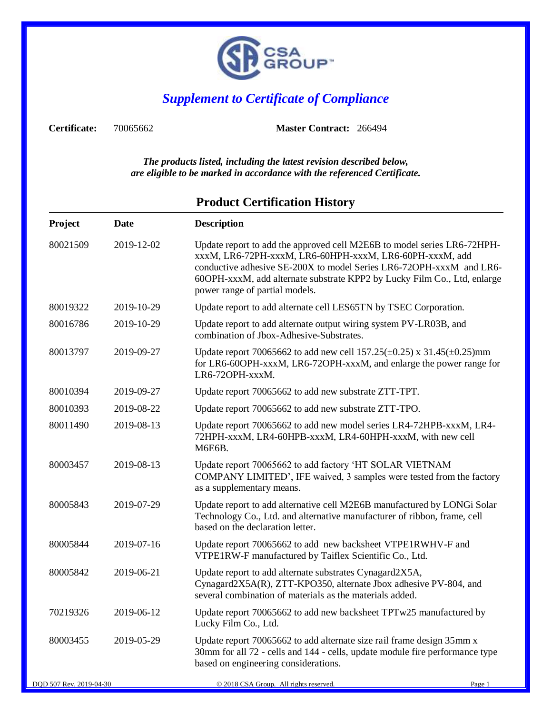

## *Supplement to Certificate of Compliance*

**Certificate:** 70065662 **Master Contract:** 266494

*The products listed, including the latest revision described below, are eligible to be marked in accordance with the referenced Certificate.*

| Project  | Date       | <b>Description</b>                                                                                                                                                                                                                                                                                                      |
|----------|------------|-------------------------------------------------------------------------------------------------------------------------------------------------------------------------------------------------------------------------------------------------------------------------------------------------------------------------|
| 80021509 | 2019-12-02 | Update report to add the approved cell M2E6B to model series LR6-72HPH-<br>xxxM, LR6-72PH-xxxM, LR6-60HPH-xxxM, LR6-60PH-xxxM, add<br>conductive adhesive SE-200X to model Series LR6-72OPH-xxxM and LR6-<br>60OPH-xxxM, add alternate substrate KPP2 by Lucky Film Co., Ltd, enlarge<br>power range of partial models. |
| 80019322 | 2019-10-29 | Update report to add alternate cell LES65TN by TSEC Corporation.                                                                                                                                                                                                                                                        |
| 80016786 | 2019-10-29 | Update report to add alternate output wiring system PV-LR03B, and<br>combination of Jbox-Adhesive-Substrates.                                                                                                                                                                                                           |
| 80013797 | 2019-09-27 | Update report 70065662 to add new cell $157.25(\pm 0.25)$ x $31.45(\pm 0.25)$ mm<br>for LR6-60OPH-xxxM, LR6-72OPH-xxxM, and enlarge the power range for<br>LR6-72OPH-xxxM.                                                                                                                                              |
| 80010394 | 2019-09-27 | Update report 70065662 to add new substrate ZTT-TPT.                                                                                                                                                                                                                                                                    |
| 80010393 | 2019-08-22 | Update report 70065662 to add new substrate ZTT-TPO.                                                                                                                                                                                                                                                                    |
| 80011490 | 2019-08-13 | Update report 70065662 to add new model series LR4-72HPB-xxxM, LR4-<br>72HPH-xxxM, LR4-60HPB-xxxM, LR4-60HPH-xxxM, with new cell<br><b>M6E6B.</b>                                                                                                                                                                       |
| 80003457 | 2019-08-13 | Update report 70065662 to add factory 'HT SOLAR VIETNAM<br>COMPANY LIMITED', IFE waived, 3 samples were tested from the factory<br>as a supplementary means.                                                                                                                                                            |
| 80005843 | 2019-07-29 | Update report to add alternative cell M2E6B manufactured by LONGi Solar<br>Technology Co., Ltd. and alternative manufacturer of ribbon, frame, cell<br>based on the declaration letter.                                                                                                                                 |
| 80005844 | 2019-07-16 | Update report 70065662 to add new backsheet VTPE1RWHV-F and<br>VTPE1RW-F manufactured by Taiflex Scientific Co., Ltd.                                                                                                                                                                                                   |
| 80005842 | 2019-06-21 | Update report to add alternate substrates Cynagard2X5A,<br>Cynagard2X5A(R), ZTT-KPO350, alternate Jbox adhesive PV-804, and<br>several combination of materials as the materials added.                                                                                                                                 |
| 70219326 | 2019-06-12 | Update report 70065662 to add new backsheet TPTw25 manufactured by<br>Lucky Film Co., Ltd.                                                                                                                                                                                                                              |
| 80003455 | 2019-05-29 | Update report 70065662 to add alternate size rail frame design 35mm x<br>30mm for all 72 - cells and 144 - cells, update module fire performance type<br>based on engineering considerations.                                                                                                                           |

### **Product Certification History**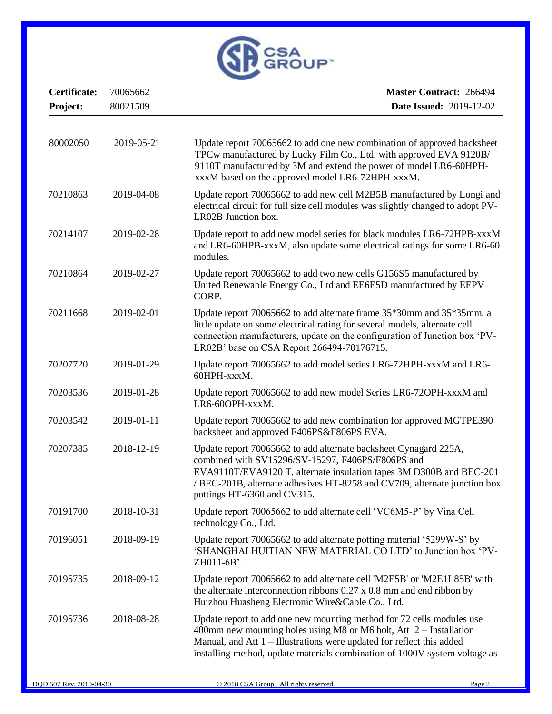

| Certificate: | 70065662   | <b>Master Contract: 266494</b>                                                                                                                                                                                                                                                                           |
|--------------|------------|----------------------------------------------------------------------------------------------------------------------------------------------------------------------------------------------------------------------------------------------------------------------------------------------------------|
| Project:     | 80021509   | <b>Date Issued: 2019-12-02</b>                                                                                                                                                                                                                                                                           |
|              |            |                                                                                                                                                                                                                                                                                                          |
| 80002050     | 2019-05-21 | Update report 70065662 to add one new combination of approved backsheet<br>TPCw manufactured by Lucky Film Co., Ltd. with approved EVA 9120B/<br>9110T manufactured by 3M and extend the power of model LR6-60HPH-<br>xxxM based on the approved model LR6-72HPH-xxxM.                                   |
| 70210863     | 2019-04-08 | Update report 70065662 to add new cell M2B5B manufactured by Longi and<br>electrical circuit for full size cell modules was slightly changed to adopt PV-<br>LR02B Junction box.                                                                                                                         |
| 70214107     | 2019-02-28 | Update report to add new model series for black modules LR6-72HPB-xxxM<br>and LR6-60HPB-xxxM, also update some electrical ratings for some LR6-60<br>modules.                                                                                                                                            |
| 70210864     | 2019-02-27 | Update report 70065662 to add two new cells G156S5 manufactured by<br>United Renewable Energy Co., Ltd and EE6E5D manufactured by EEPV<br>CORP.                                                                                                                                                          |
| 70211668     | 2019-02-01 | Update report 70065662 to add alternate frame 35*30mm and 35*35mm, a<br>little update on some electrical rating for several models, alternate cell<br>connection manufacturers, update on the configuration of Junction box 'PV-<br>LR02B' base on CSA Report 266494-70176715.                           |
| 70207720     | 2019-01-29 | Update report 70065662 to add model series LR6-72HPH-xxxM and LR6-<br>60HPH-xxxM.                                                                                                                                                                                                                        |
| 70203536     | 2019-01-28 | Update report 70065662 to add new model Series LR6-72OPH-xxxM and<br>LR6-60OPH-xxxM.                                                                                                                                                                                                                     |
| 70203542     | 2019-01-11 | Update report 70065662 to add new combination for approved MGTPE390<br>backsheet and approved F406PS&F806PS EVA.                                                                                                                                                                                         |
| 70207385     | 2018-12-19 | Update report 70065662 to add alternate backsheet Cynagard 225A,<br>combined with SV15296/SV-15297, F406PS/F806PS and<br>EVA9110T/EVA9120 T, alternate insulation tapes 3M D300B and BEC-201<br>/ BEC-201B, alternate adhesives HT-8258 and CV709, alternate junction box<br>pottings HT-6360 and CV315. |
| 70191700     | 2018-10-31 | Update report 70065662 to add alternate cell 'VC6M5-P' by Vina Cell<br>technology Co., Ltd.                                                                                                                                                                                                              |
| 70196051     | 2018-09-19 | Update report 70065662 to add alternate potting material '5299W-S' by<br>'SHANGHAI HUITIAN NEW MATERIAL CO LTD' to Junction box 'PV-<br>ZH011-6B'.                                                                                                                                                       |
| 70195735     | 2018-09-12 | Update report 70065662 to add alternate cell 'M2E5B' or 'M2E1L85B' with<br>the alternate interconnection ribbons $0.27 \times 0.8$ mm and end ribbon by<br>Huizhou Huasheng Electronic Wire&Cable Co., Ltd.                                                                                              |
| 70195736     | 2018-08-28 | Update report to add one new mounting method for 72 cells modules use<br>400mm new mounting holes using M8 or M6 bolt, Att $2$ – Installation<br>Manual, and Att $1$ – Illustrations were updated for reflect this added<br>installing method, update materials combination of 1000V system voltage as   |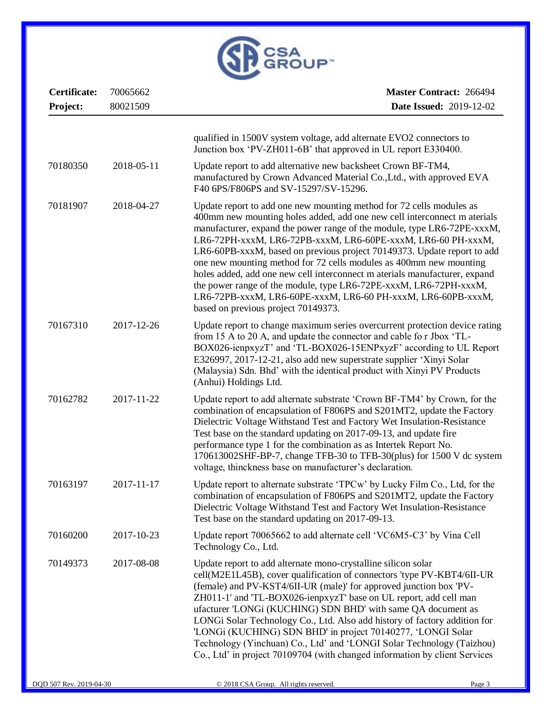

| Certificate:<br>Project: | 70065662<br>80021509 | <b>Master Contract: 266494</b><br><b>Date Issued: 2019-12-02</b>                                                                                                                                                                                                                                                                                                                                                                                                                                                                                                                                                                                                                                       |
|--------------------------|----------------------|--------------------------------------------------------------------------------------------------------------------------------------------------------------------------------------------------------------------------------------------------------------------------------------------------------------------------------------------------------------------------------------------------------------------------------------------------------------------------------------------------------------------------------------------------------------------------------------------------------------------------------------------------------------------------------------------------------|
|                          |                      | qualified in 1500V system voltage, add alternate EVO2 connectors to<br>Junction box 'PV-ZH011-6B' that approved in UL report E330400.                                                                                                                                                                                                                                                                                                                                                                                                                                                                                                                                                                  |
| 70180350                 | 2018-05-11           | Update report to add alternative new backsheet Crown BF-TM4,<br>manufactured by Crown Advanced Material Co., Ltd., with approved EVA<br>F40 6PS/F806PS and SV-15297/SV-15296.                                                                                                                                                                                                                                                                                                                                                                                                                                                                                                                          |
| 70181907                 | 2018-04-27           | Update report to add one new mounting method for 72 cells modules as<br>400mm new mounting holes added, add one new cell interconnect m aterials<br>manufacturer, expand the power range of the module, type LR6-72PE-xxxM,<br>LR6-72PH-xxxM, LR6-72PB-xxxM, LR6-60PE-xxxM, LR6-60 PH-xxxM,<br>LR6-60PB-xxxM, based on previous project 70149373. Update report to add<br>one new mounting method for 72 cells modules as 400mm new mounting<br>holes added, add one new cell interconnect m aterials manufacturer, expand<br>the power range of the module, type LR6-72PE-xxxM, LR6-72PH-xxxM,<br>LR6-72PB-xxxM, LR6-60PE-xxxM, LR6-60 PH-xxxM, LR6-60PB-xxxM,<br>based on previous project 70149373. |
| 70167310                 | 2017-12-26           | Update report to change maximum series overcurrent protection device rating<br>from 15 A to 20 A, and update the connector and cable fo r Jbox 'TL-<br>BOX026-ienpxyzT' and 'TL-BOX026-15ENPxyzF' according to UL Report<br>E326997, 2017-12-21, also add new superstrate supplier 'Xinyi Solar<br>(Malaysia) Sdn. Bhd' with the identical product with Xinyi PV Products<br>(Anhui) Holdings Ltd.                                                                                                                                                                                                                                                                                                     |
| 70162782                 | 2017-11-22           | Update report to add alternate substrate 'Crown BF-TM4' by Crown, for the<br>combination of encapsulation of F806PS and S201MT2, update the Factory<br>Dielectric Voltage Withstand Test and Factory Wet Insulation-Resistance<br>Test base on the standard updating on 2017-09-13, and update fire<br>performance type 1 for the combination as as Intertek Report No.<br>170613002SHF-BP-7, change TFB-30 to TFB-30(plus) for 1500 V dc system<br>voltage, thinckness base on manufacturer's declaration.                                                                                                                                                                                            |
| 70163197                 | 2017-11-17           | Update report to alternate substrate 'TPCw' by Lucky Film Co., Ltd, for the<br>combination of encapsulation of F806PS and S201MT2, update the Factory<br>Dielectric Voltage Withstand Test and Factory Wet Insulation-Resistance<br>Test base on the standard updating on 2017-09-13.                                                                                                                                                                                                                                                                                                                                                                                                                  |
| 70160200                 | 2017-10-23           | Update report 70065662 to add alternate cell 'VC6M5-C3' by Vina Cell<br>Technology Co., Ltd.                                                                                                                                                                                                                                                                                                                                                                                                                                                                                                                                                                                                           |
| 70149373                 | 2017-08-08           | Update report to add alternate mono-crystalline silicon solar<br>cell(M2E1L45B), cover qualification of connectors 'type PV-KBT4/6II-UR<br>(female) and PV-KST4/6II-UR (male)' for approved junction box 'PV-<br>ZH011-1' and 'TL-BOX026-ienpxyzT' base on UL report, add cell man<br>ufacturer 'LONGi (KUCHING) SDN BHD' with same QA document as<br>LONGi Solar Technology Co., Ltd. Also add history of factory addition for<br>'LONGi (KUCHING) SDN BHD' in project 70140277, 'LONGI Solar<br>Technology (Yinchuan) Co., Ltd' and 'LONGI Solar Technology (Taizhou)<br>Co., Ltd' in project 70109704 (with changed information by client Services                                                  |